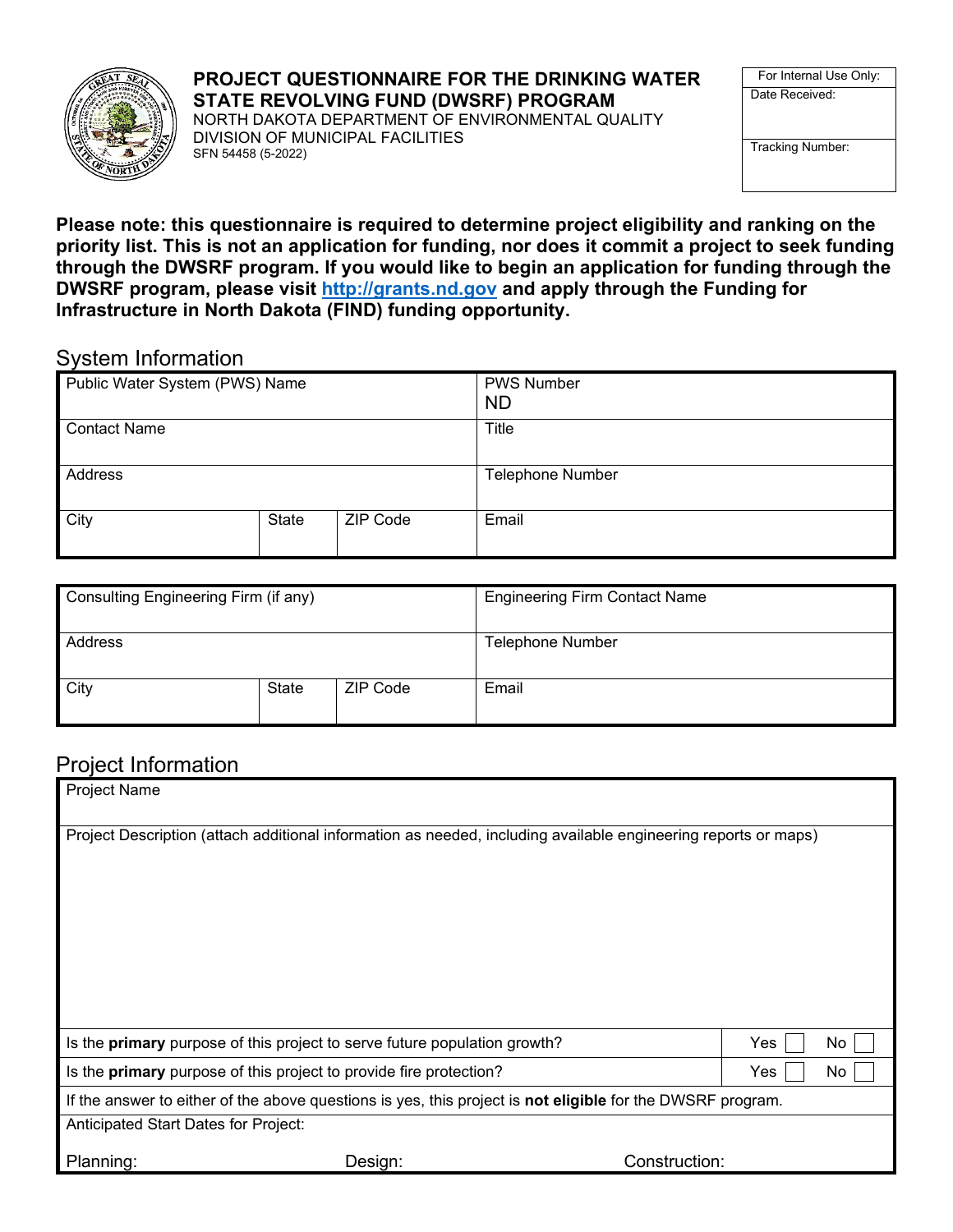

#### **PROJECT QUESTIONNAIRE FOR THE DRINKING WATER STATE REVOLVING FUND (DWSRF) PROGRAM**

NORTH DAKOTA DEPARTMENT OF ENVIRONMENTAL QUALITY DIVISION OF MUNICIPAL FACILITIES SFN 54458 (5-2022)

For Internal Use Only: Date Received:

Tracking Number:

**Please note: this questionnaire is required to determine project eligibility and ranking on the priority list. This is not an application for funding, nor does it commit a project to seek funding through the DWSRF program. If you would like to begin an application for funding through the DWSRF program, please visit [http://grants.nd.gov](http://grants.nd.gov/) and apply through the Funding for Infrastructure in North Dakota (FIND) funding opportunity.** 

#### System Information

| Public Water System (PWS) Name   |  | <b>PWS Number</b><br><b>ND</b> |
|----------------------------------|--|--------------------------------|
| <b>Contact Name</b>              |  | <b>Title</b>                   |
| Address                          |  | <b>Telephone Number</b>        |
| City<br><b>ZIP Code</b><br>State |  | Email                          |

| Consulting Engineering Firm (if any) |       |          | <b>Engineering Firm Contact Name</b> |
|--------------------------------------|-------|----------|--------------------------------------|
| Address                              |       |          | <b>Telephone Number</b>              |
| <b>City</b>                          | State | ZIP Code | Email                                |

#### Project Information

| <b>Project Name</b>                                                                                            |  |               |     |     |  |
|----------------------------------------------------------------------------------------------------------------|--|---------------|-----|-----|--|
| Project Description (attach additional information as needed, including available engineering reports or maps) |  |               |     |     |  |
|                                                                                                                |  |               |     |     |  |
|                                                                                                                |  |               |     |     |  |
|                                                                                                                |  |               |     |     |  |
|                                                                                                                |  |               |     |     |  |
|                                                                                                                |  |               |     |     |  |
| Is the <b>primary</b> purpose of this project to serve future population growth?                               |  |               | Yes | No  |  |
| Is the primary purpose of this project to provide fire protection?                                             |  |               | Yes | No. |  |
| If the answer to either of the above questions is yes, this project is not eligible for the DWSRF program.     |  |               |     |     |  |
| Anticipated Start Dates for Project:                                                                           |  |               |     |     |  |
| Design:<br>Planning:                                                                                           |  | Construction: |     |     |  |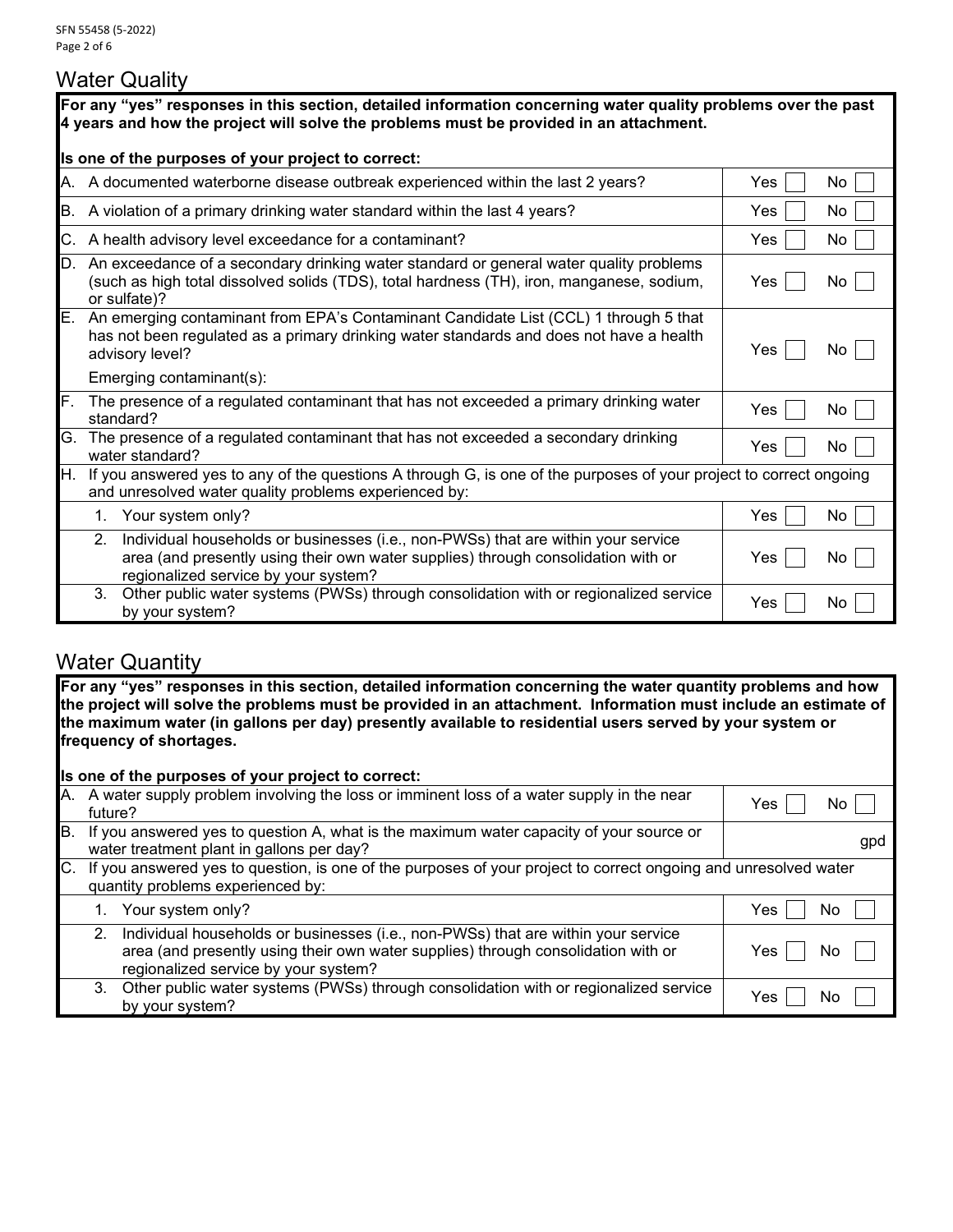### Water Quality

|    | For any "yes" responses in this section, detailed information concerning water quality problems over the past<br>4 years and how the project will solve the problems must be provided in an attachment.              |                   |  |  |
|----|----------------------------------------------------------------------------------------------------------------------------------------------------------------------------------------------------------------------|-------------------|--|--|
|    | Is one of the purposes of your project to correct:                                                                                                                                                                   |                   |  |  |
|    | A. A documented waterborne disease outbreak experienced within the last 2 years?                                                                                                                                     | Yes<br>No.        |  |  |
|    | B. A violation of a primary drinking water standard within the last 4 years?                                                                                                                                         | No.<br><b>Yes</b> |  |  |
|    | C. A health advisory level exceedance for a contaminant?                                                                                                                                                             | No<br><b>Yes</b>  |  |  |
|    | D. An exceedance of a secondary drinking water standard or general water quality problems<br>(such as high total dissolved solids (TDS), total hardness (TH), iron, manganese, sodium,<br>or sulfate)?               | Yes<br>No.        |  |  |
| E. | An emerging contaminant from EPA's Contaminant Candidate List (CCL) 1 through 5 that<br>has not been regulated as a primary drinking water standards and does not have a health<br>advisory level?                   | <b>Yes</b><br>No. |  |  |
|    | Emerging contaminant(s):                                                                                                                                                                                             |                   |  |  |
| F. | The presence of a regulated contaminant that has not exceeded a primary drinking water<br>standard?                                                                                                                  | <b>Yes</b><br>No. |  |  |
| G. | The presence of a regulated contaminant that has not exceeded a secondary drinking<br>water standard?                                                                                                                | No<br>Yes         |  |  |
| Η. | If you answered yes to any of the questions A through G, is one of the purposes of your project to correct ongoing<br>and unresolved water quality problems experienced by:                                          |                   |  |  |
|    | 1. Your system only?                                                                                                                                                                                                 | Yes<br>No.        |  |  |
|    | Individual households or businesses (i.e., non-PWSs) that are within your service<br>2.<br>area (and presently using their own water supplies) through consolidation with or<br>regionalized service by your system? | Yes<br>No         |  |  |
|    | Other public water systems (PWSs) through consolidation with or regionalized service<br>3 <sub>1</sub><br>by your system?                                                                                            | Yes<br>No.        |  |  |

# **Water Quantity**

**For any "yes" responses in this section, detailed information concerning the water quantity problems and how the project will solve the problems must be provided in an attachment. Information must include an estimate of the maximum water (in gallons per day) presently available to residential users served by your system or frequency of shortages.**

| Is one of the purposes of your project to correct:                                                                                                      |                                                                                                                                                                                                                |     |     |  |
|---------------------------------------------------------------------------------------------------------------------------------------------------------|----------------------------------------------------------------------------------------------------------------------------------------------------------------------------------------------------------------|-----|-----|--|
| future?                                                                                                                                                 | A. A water supply problem involving the loss or imminent loss of a water supply in the near                                                                                                                    | Yes | NO. |  |
|                                                                                                                                                         | B. If you answered yes to question A, what is the maximum water capacity of your source or<br>water treatment plant in gallons per day?                                                                        |     | gpd |  |
| C. If you answered yes to question, is one of the purposes of your project to correct ongoing and unresolved water<br>quantity problems experienced by: |                                                                                                                                                                                                                |     |     |  |
|                                                                                                                                                         | Your system only?                                                                                                                                                                                              | Yes | No  |  |
| 2 <sup>1</sup>                                                                                                                                          | Individual households or businesses (i.e., non-PWSs) that are within your service<br>area (and presently using their own water supplies) through consolidation with or<br>regionalized service by your system? | Yes | NO  |  |
| 3.                                                                                                                                                      | Other public water systems (PWSs) through consolidation with or regionalized service<br>by your system?                                                                                                        | Yes | NC  |  |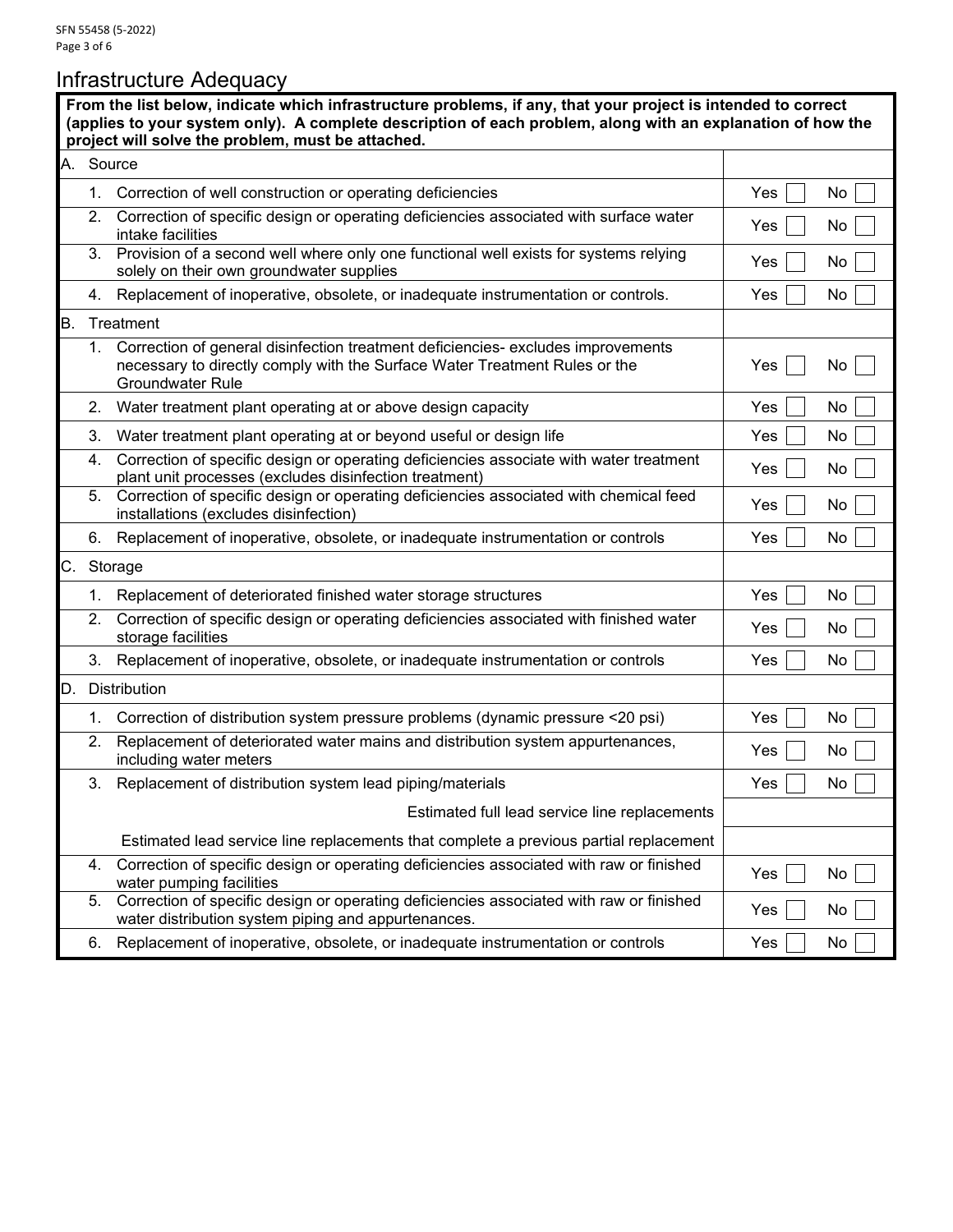# Infrastructure Adequacy

|    |           | From the list below, indicate which infrastructure problems, if any, that your project is intended to correct<br>(applies to your system only). A complete description of each problem, along with an explanation of how the<br>project will solve the problem, must be attached. |     |    |
|----|-----------|-----------------------------------------------------------------------------------------------------------------------------------------------------------------------------------------------------------------------------------------------------------------------------------|-----|----|
|    | A. Source |                                                                                                                                                                                                                                                                                   |     |    |
|    | 1.        | Correction of well construction or operating deficiencies                                                                                                                                                                                                                         | Yes | No |
|    | 2.        | Correction of specific design or operating deficiencies associated with surface water<br>intake facilities                                                                                                                                                                        | Yes | No |
|    | 3.        | Provision of a second well where only one functional well exists for systems relying<br>solely on their own groundwater supplies                                                                                                                                                  | Yes | No |
|    | 4.        | Replacement of inoperative, obsolete, or inadequate instrumentation or controls.                                                                                                                                                                                                  | Yes | No |
| Β. |           | Treatment                                                                                                                                                                                                                                                                         |     |    |
|    | 1.        | Correction of general disinfection treatment deficiencies- excludes improvements<br>necessary to directly comply with the Surface Water Treatment Rules or the<br><b>Groundwater Rule</b>                                                                                         | Yes | No |
|    | 2.        | Water treatment plant operating at or above design capacity                                                                                                                                                                                                                       | Yes | No |
|    | 3.        | Water treatment plant operating at or beyond useful or design life                                                                                                                                                                                                                | Yes | No |
|    | 4.        | Correction of specific design or operating deficiencies associate with water treatment<br>plant unit processes (excludes disinfection treatment)                                                                                                                                  | Yes | No |
|    | 5.        | Correction of specific design or operating deficiencies associated with chemical feed<br>installations (excludes disinfection)                                                                                                                                                    | Yes | No |
|    |           | 6. Replacement of inoperative, obsolete, or inadequate instrumentation or controls                                                                                                                                                                                                | Yes | No |
| С. |           | Storage                                                                                                                                                                                                                                                                           |     |    |
|    | 1.        | Replacement of deteriorated finished water storage structures                                                                                                                                                                                                                     | Yes | No |
|    | 2.        | Correction of specific design or operating deficiencies associated with finished water<br>storage facilities                                                                                                                                                                      | Yes | No |
|    | 3.        | Replacement of inoperative, obsolete, or inadequate instrumentation or controls                                                                                                                                                                                                   | Yes | No |
|    |           | D. Distribution                                                                                                                                                                                                                                                                   |     |    |
|    | 1.        | Correction of distribution system pressure problems (dynamic pressure <20 psi)                                                                                                                                                                                                    | Yes | No |
|    | 2.        | Replacement of deteriorated water mains and distribution system appurtenances,<br>including water meters                                                                                                                                                                          | Yes | No |
|    |           | 3. Replacement of distribution system lead piping/materials                                                                                                                                                                                                                       | Yes | No |
|    |           | Estimated full lead service line replacements                                                                                                                                                                                                                                     |     |    |
|    |           | Estimated lead service line replacements that complete a previous partial replacement                                                                                                                                                                                             |     |    |
|    | 4.        | Correction of specific design or operating deficiencies associated with raw or finished<br>water pumping facilities                                                                                                                                                               | Yes | No |
|    | 5.        | Correction of specific design or operating deficiencies associated with raw or finished<br>water distribution system piping and appurtenances.                                                                                                                                    | Yes | No |
|    | 6.        | Replacement of inoperative, obsolete, or inadequate instrumentation or controls                                                                                                                                                                                                   | Yes | No |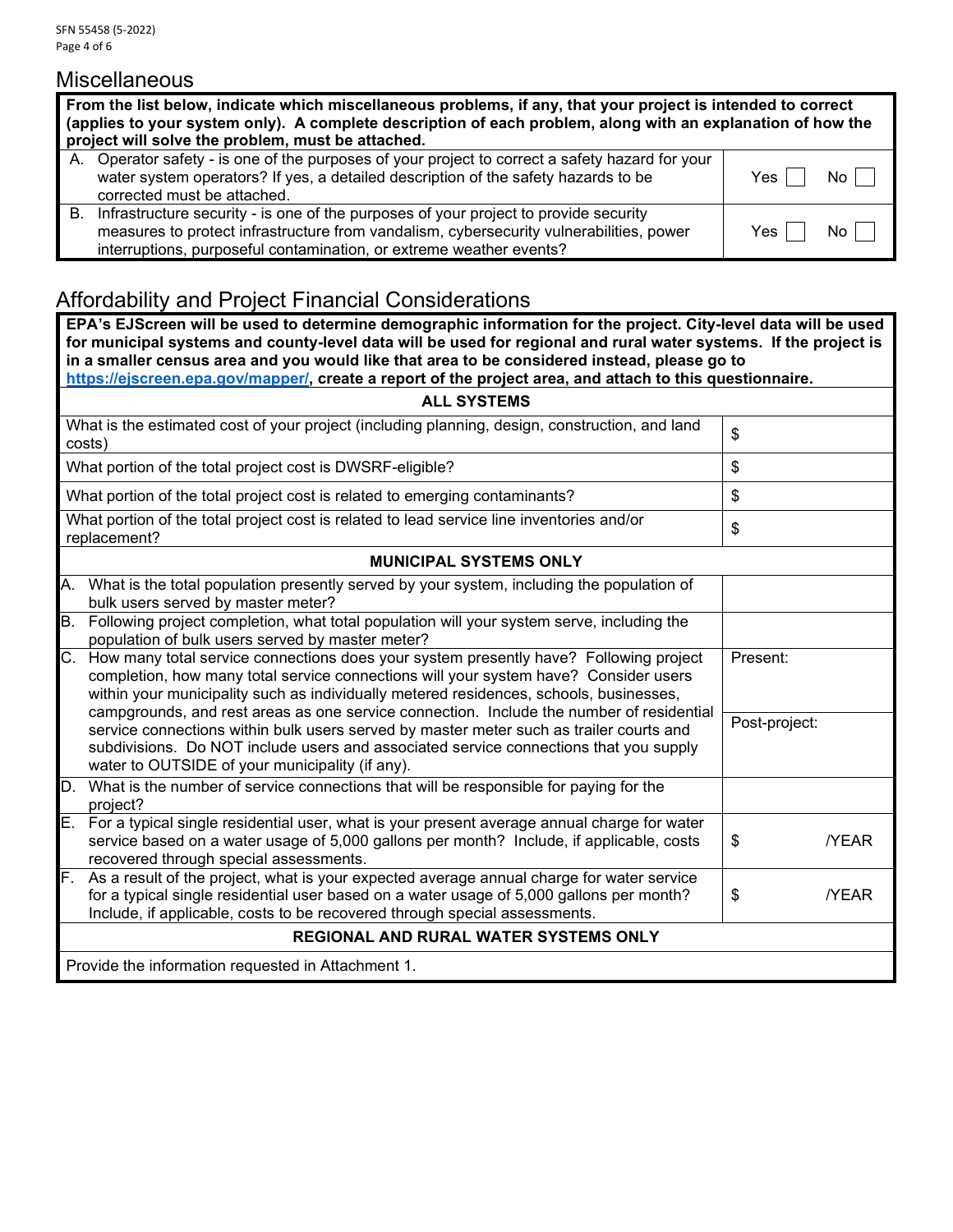#### **Miscellaneous**

|    | From the list below, indicate which miscellaneous problems, if any, that your project is intended to correct<br>(applies to your system only). A complete description of each problem, along with an explanation of how the<br>project will solve the problem, must be attached. |                |  |  |  |
|----|----------------------------------------------------------------------------------------------------------------------------------------------------------------------------------------------------------------------------------------------------------------------------------|----------------|--|--|--|
|    | A. Operator safety - is one of the purposes of your project to correct a safety hazard for your<br>water system operators? If yes, a detailed description of the safety hazards to be<br>corrected must be attached.                                                             | No II<br>Yes I |  |  |  |
| В. | Infrastructure security - is one of the purposes of your project to provide security<br>measures to protect infrastructure from vandalism, cybersecurity vulnerabilities, power<br>interruptions, purposeful contamination, or extreme weather events?                           | Yes I<br>No I  |  |  |  |

## Affordability and Project Financial Considerations

**EPA's EJScreen will be used to determine demographic information for the project. City-level data will be used for municipal systems and county-level data will be used for regional and rural water systems. If the project is in a smaller census area and you would like that area to be considered instead, please go to [https://ejscreen.epa.gov/mapper/,](https://ejscreen.epa.gov/mapper/) create a report of the project area, and attach to this questionnaire.**

| <b>ALL SYSTEMS</b>                                                                                                                                                                                                                                                                                                                                                                 |                   |  |  |  |
|------------------------------------------------------------------------------------------------------------------------------------------------------------------------------------------------------------------------------------------------------------------------------------------------------------------------------------------------------------------------------------|-------------------|--|--|--|
| What is the estimated cost of your project (including planning, design, construction, and land<br>costs)                                                                                                                                                                                                                                                                           | \$                |  |  |  |
| What portion of the total project cost is DWSRF-eligible?                                                                                                                                                                                                                                                                                                                          | \$                |  |  |  |
| What portion of the total project cost is related to emerging contaminants?                                                                                                                                                                                                                                                                                                        | \$                |  |  |  |
| What portion of the total project cost is related to lead service line inventories and/or<br>replacement?                                                                                                                                                                                                                                                                          | \$                |  |  |  |
| <b>MUNICIPAL SYSTEMS ONLY</b>                                                                                                                                                                                                                                                                                                                                                      |                   |  |  |  |
| А.<br>What is the total population presently served by your system, including the population of<br>bulk users served by master meter?                                                                                                                                                                                                                                              |                   |  |  |  |
| Following project completion, what total population will your system serve, including the<br><b>B.</b><br>population of bulk users served by master meter?                                                                                                                                                                                                                         |                   |  |  |  |
| $C_{\cdot}$<br>How many total service connections does your system presently have? Following project<br>completion, how many total service connections will your system have? Consider users<br>within your municipality such as individually metered residences, schools, businesses,<br>campgrounds, and rest areas as one service connection. Include the number of residential | Present:          |  |  |  |
| service connections within bulk users served by master meter such as trailer courts and<br>subdivisions. Do NOT include users and associated service connections that you supply<br>water to OUTSIDE of your municipality (if any).                                                                                                                                                | Post-project:     |  |  |  |
| D.<br>What is the number of service connections that will be responsible for paying for the<br>project?                                                                                                                                                                                                                                                                            |                   |  |  |  |
| Е.<br>For a typical single residential user, what is your present average annual charge for water<br>service based on a water usage of 5,000 gallons per month? Include, if applicable, costs<br>recovered through special assessments.                                                                                                                                            | \$<br><b>YEAR</b> |  |  |  |
| F.<br>As a result of the project, what is your expected average annual charge for water service<br>for a typical single residential user based on a water usage of 5,000 gallons per month?<br>Include, if applicable, costs to be recovered through special assessments.                                                                                                          | \$<br><b>NEAR</b> |  |  |  |
| <b>REGIONAL AND RURAL WATER SYSTEMS ONLY</b>                                                                                                                                                                                                                                                                                                                                       |                   |  |  |  |
| Provide the information requested in Attachment 1.                                                                                                                                                                                                                                                                                                                                 |                   |  |  |  |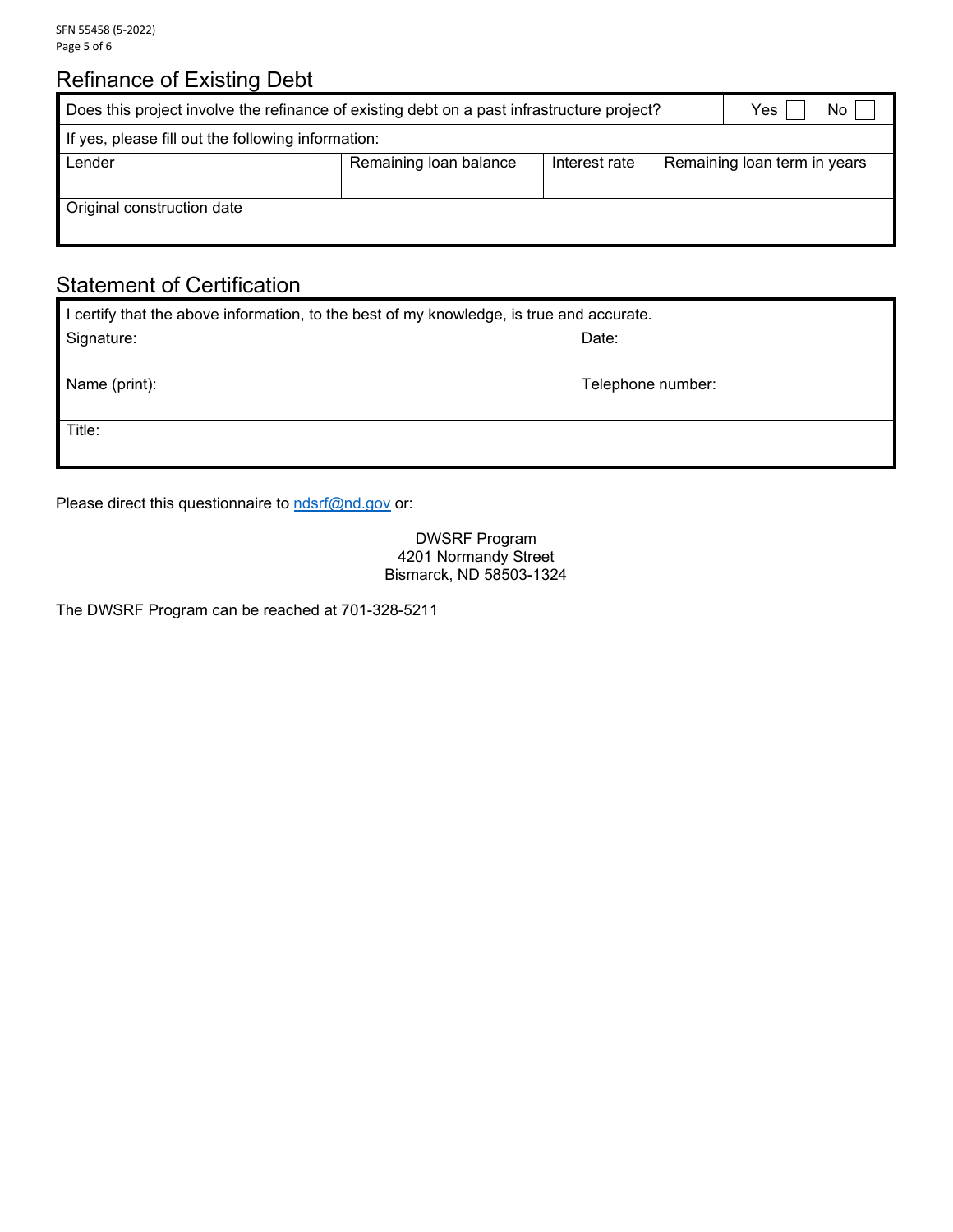# Refinance of Existing Debt

| Does this project involve the refinance of existing debt on a past infrastructure project?<br>Yes |  |  |  |  | No |
|---------------------------------------------------------------------------------------------------|--|--|--|--|----|
| If yes, please fill out the following information:                                                |  |  |  |  |    |
| Lender<br>Remaining loan balance<br>Remaining loan term in years<br>Interest rate                 |  |  |  |  |    |
|                                                                                                   |  |  |  |  |    |
| Original construction date                                                                        |  |  |  |  |    |
|                                                                                                   |  |  |  |  |    |

### Statement of Certification

| I certify that the above information, to the best of my knowledge, is true and accurate. |                   |  |  |  |
|------------------------------------------------------------------------------------------|-------------------|--|--|--|
| Signature:                                                                               | Date:             |  |  |  |
|                                                                                          |                   |  |  |  |
| Name (print):                                                                            | Telephone number: |  |  |  |
|                                                                                          |                   |  |  |  |
| Title:                                                                                   |                   |  |  |  |
|                                                                                          |                   |  |  |  |

Please direct this questionnaire to **[ndsrf@nd.gov](mailto:ndsrf@nd.gov)** or:

DWSRF Program 4201 Normandy Street Bismarck, ND 58503-1324

The DWSRF Program can be reached at 701-328-5211